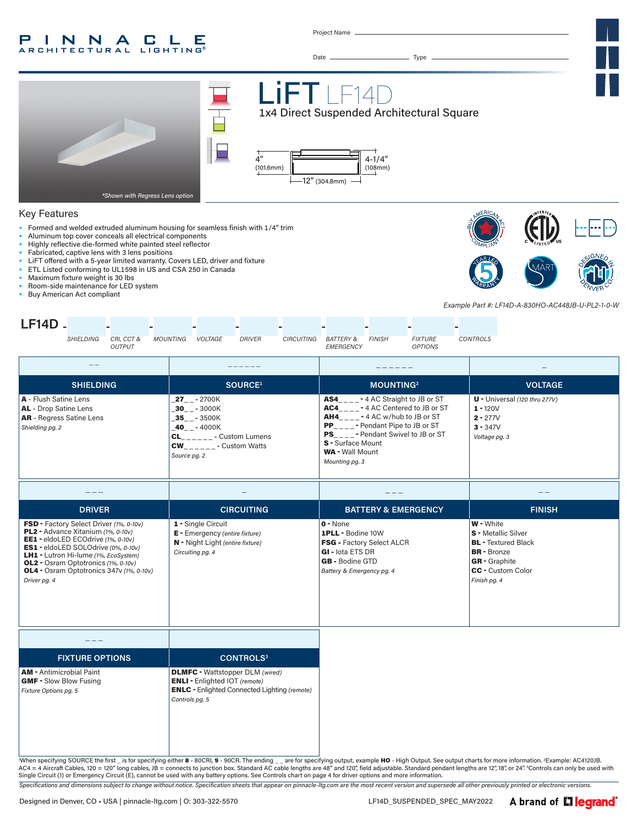#### P INNA  $\mathbb{L}$ G. Е **ARCHITECTURAL LIGHTING**

Project Name

Date Type





| <b>FIXTURE OPTIONS</b>                                   | <b>CONTROLS<sup>3</sup></b>                                                                                                                             |
|----------------------------------------------------------|---------------------------------------------------------------------------------------------------------------------------------------------------------|
| ntimicrobial Paint)<br>Slow Blow Fusing<br>Options pg. 5 | <b>DLMFC</b> - Wattstopper DLM (wired)<br><b>ENLI</b> - Enlighted IOT (remote)<br><b>ENLC</b> - Enlighted Connected Lighting (remote)<br>Controls pg. 5 |

"When specifying SOURCE the first \_ is for specifying either 8 - 80CRI, 9 - 90CR. The ending \_\_ are for specifying output, example HO - High Output. See output charts for more information. <sup>z</sup>Example: AC4120JB.<br>AC4 = 4 Ai

*Specifications and dimensions subject to change without notice. Specification sheets that appear on pinnacle-ltg.com are the most recent version and supersede all other previously printed or electronic versions.*

 $AM - A$ GMF-*Fixture*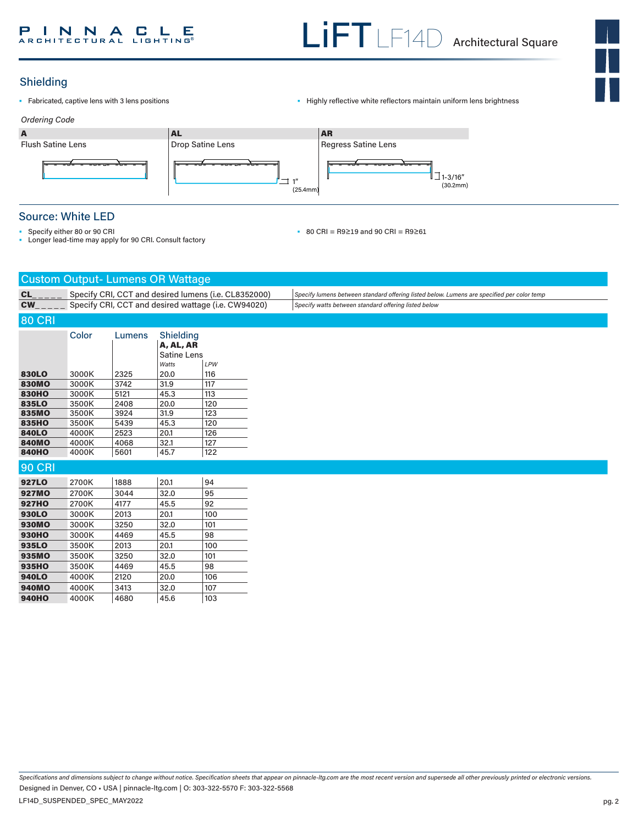

# Shielding

- 
- Fabricated, captive lens with 3 lens positions  **Captive 1998** Highly reflective white reflectors maintain uniform lens brightness



# Source: White LED

- Specify either 80 or 90 CRI
- Longer lead-time may apply for 90 CRI. Consult factory

• 80 CRI = R9≥19 and 90 CRI = R9≥61

|               |                                                      | <b>Custom Output- Lumens OR Wattage</b> |                        |     |                                                                                            |
|---------------|------------------------------------------------------|-----------------------------------------|------------------------|-----|--------------------------------------------------------------------------------------------|
| CL            | Specify CRI, CCT and desired lumens (i.e. CL8352000) |                                         |                        |     | Specify lumens between standard offering listed below. Lumens are specified per color temp |
| <b>CW</b>     | Specify CRI, CCT and desired wattage (i.e. CW94020)  |                                         |                        |     | Specify watts between standard offering listed below                                       |
| <b>80 CRI</b> |                                                      |                                         |                        |     |                                                                                            |
|               |                                                      |                                         |                        |     |                                                                                            |
|               | Color                                                | Lumens                                  | Shielding<br>A, AL, AR |     |                                                                                            |
|               |                                                      |                                         | <b>Satine Lens</b>     |     |                                                                                            |
|               |                                                      |                                         | Watts                  | LPW |                                                                                            |
| 830LO         | 3000K                                                | 2325                                    | 20.0                   | 116 |                                                                                            |
| <b>830MO</b>  | 3000K                                                | 3742                                    | 31.9                   | 117 |                                                                                            |
| <b>830HO</b>  | 3000K                                                | 5121                                    | 45.3                   | 113 |                                                                                            |
| 835LO         | 3500K                                                | 2408                                    | 20.0                   | 120 |                                                                                            |
| 835MO         | 3500K                                                | 3924                                    | 31.9                   | 123 |                                                                                            |
| <b>835HO</b>  | 3500K                                                | 5439                                    | 45.3                   | 120 |                                                                                            |
| 840LO         | 4000K                                                | 2523                                    | 20.1                   | 126 |                                                                                            |
| <b>840MO</b>  | 4000K                                                | 4068                                    | 32.1                   | 127 |                                                                                            |
| <b>840HO</b>  | 4000K                                                | 5601                                    | 45.7                   | 122 |                                                                                            |
| <b>90 CRI</b> |                                                      |                                         |                        |     |                                                                                            |
| 927LO         | 2700K                                                | 1888                                    | 20.1                   | 94  |                                                                                            |
| <b>927MO</b>  | 2700K                                                | 3044                                    | 32.0                   | 95  |                                                                                            |
| <b>927HO</b>  | 2700K                                                | 4177                                    | 45.5                   | 92  |                                                                                            |
| 930LO         | 3000K                                                | 2013                                    | 20.1                   | 100 |                                                                                            |
| <b>930MO</b>  | 3000K                                                | 3250                                    | 32.0                   | 101 |                                                                                            |
| <b>930HO</b>  | 3000K                                                | 4469                                    | 45.5                   | 98  |                                                                                            |
| 935LO         | 3500K                                                | 2013                                    | 20.1                   | 100 |                                                                                            |
| 935MO         | 3500K                                                | 3250                                    | 32.0                   | 101 |                                                                                            |
| 935HO         | 3500K                                                | 4469                                    | 45.5                   | 98  |                                                                                            |
| 940LO         | 4000K                                                | 2120                                    | 20.0                   | 106 |                                                                                            |
| <b>940MO</b>  | 4000K                                                | 3413                                    | 32.0                   | 107 |                                                                                            |
| <b>940HO</b>  | 4000K                                                | 4680                                    | 45.6                   | 103 |                                                                                            |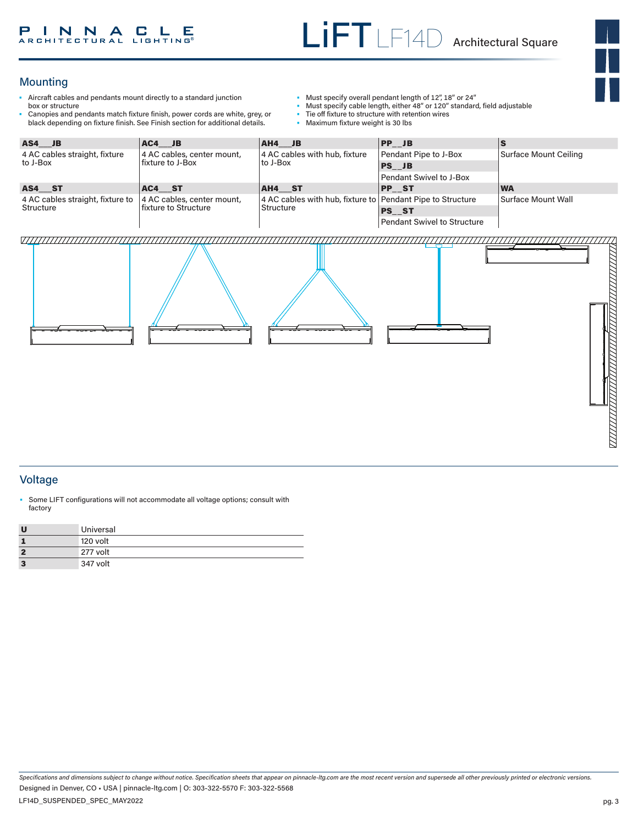# **Mounting**

- Aircraft cables and pendants mount directly to a standard junction box or structure
- Canopies and pendants match fixture finish, power cords are white, grey, or black depending on fixture finish. See Finish section for additional details.
- Must specify overall pendant length of 12", 18" or 24"
- Must specify cable length, either 48" or 120" standard, field adjustable<br>• Tie off fixture to structure with retention wires
- Tie off fixture to structure with retention wires<br>• Maximum fixture weight is 30 lbs
- Maximum fixture weight is 30 lbs

| AS4 JB                           | $AC4$ JB                                           | $AH4$ JB                                                                       | $ PP$ JB                    |                       |  |
|----------------------------------|----------------------------------------------------|--------------------------------------------------------------------------------|-----------------------------|-----------------------|--|
| 4 AC cables straight, fixture    | 4 AC cables, center mount,<br>l fixture to J-Box   | 4 AC cables with hub, fixture<br>to J-Box                                      | Pendant Pipe to J-Box       | Surface Mount Ceiling |  |
| to J-Box                         |                                                    |                                                                                | $PS$ JB                     |                       |  |
|                                  |                                                    |                                                                                | Pendant Swivel to J-Box     |                       |  |
| AS4 ST                           | AC4 ST                                             | AH4 ST                                                                         | <b>PP ST</b>                | <b>WA</b>             |  |
| 4 AC cables straight, fixture to | 4 AC cables, center mount,<br>fixture to Structure | 4 AC cables with hub, fixture to Pendant Pipe to Structure<br><b>Structure</b> |                             | Surface Mount Wall    |  |
| Structure                        |                                                    |                                                                                | <b>PS ST</b>                |                       |  |
|                                  |                                                    |                                                                                | Pendant Swivel to Structure |                       |  |

#### 7777777777



### Voltage

• Some LIFT configurations will not accommodate all voltage options; consult with factory

| <b>U</b> | Universal |
|----------|-----------|
|          | 120 volt  |
|          | 277 volt  |
| -3       | 347 volt  |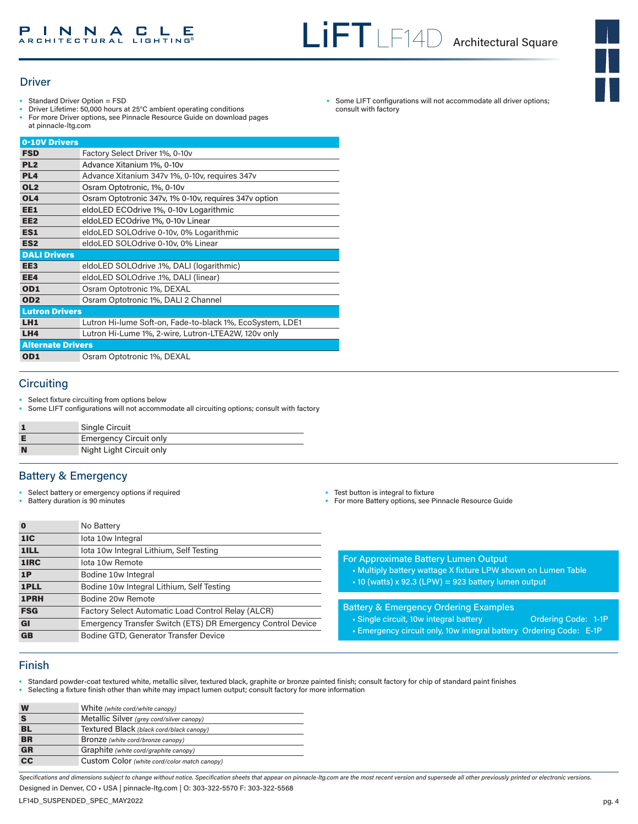

### **Driver**

- Standard Driver Option = FSD
- Driver Lifetime: 50,000 hours at 25°C ambient operating conditions
- For more Driver options, see Pinnacle Resource Guide on download pages at pinnacle-ltg.com

| Factory Select Driver 1%, 0-10v                           |
|-----------------------------------------------------------|
| Advance Xitanium 1%, 0-10v                                |
| Advance Xitanium 347v 1%, 0-10v, requires 347v            |
| Osram Optotronic, 1%, 0-10y                               |
| Osram Optotronic 347v, 1% 0-10v, requires 347v option     |
| eldoLED ECOdrive 1%, 0-10v Logarithmic                    |
| eldoLED ECOdrive 1%, 0-10v Linear                         |
| eldoLED SOLOdrive 0-10v, 0% Logarithmic                   |
| eldoLED SOLOdrive 0-10v, 0% Linear                        |
|                                                           |
| eldoLED SOLOdrive .1%, DALI (logarithmic)                 |
| eldoLED SOLOdrive .1%, DALI (linear)                      |
| Osram Optotronic 1%, DEXAL                                |
| Osram Optotronic 1%, DALI 2 Channel                       |
| <b>Lutron Drivers</b>                                     |
| Lutron Hi-lume Soft-on, Fade-to-black 1%, EcoSystem, LDE1 |
| Lutron Hi-Lume 1%, 2-wire, Lutron-LTEA2W, 120v only       |
| <b>Alternate Drivers</b>                                  |
| Osram Optotronic 1%, DEXAL                                |
|                                                           |

# **Circuiting**

- Select fixture circuiting from options below
- Some LIFT configurations will not accommodate all circuiting options; consult with factory

|   | Single Circuit                |
|---|-------------------------------|
| Е | <b>Emergency Circuit only</b> |
| N | Night Light Circuit only      |

## Battery & Emergency

• Select battery or emergency options if required

1ILL lota 10w Integral Lithium, Self Testing

1PLL Bodine 10w Integral Lithium, Self Testing

GB Bodine GTD, Generator Transfer Device

FSG Factory Select Automatic Load Control Relay (ALCR)

GI Emergency Transfer Switch (ETS) DR Emergency Control Device

• Battery duration is 90 minutes

**0** No Battery 1IC lota 10w Integral

1IRC lota 10w Remote 1P Bodine 10w Integral

**1PRH** Bodine 20w Remote

- Test button is integral to fixture
- For more Battery options, see Pinnacle Resource Guide

|  | For Approximate Battery Lumen Output |  |
|--|--------------------------------------|--|
|  |                                      |  |
|  |                                      |  |

- Multiply battery wattage X fixture LPW shown on Lumen Table
- 10 (watts) x 92.3 (LPW) = 923 battery lumen output

#### Battery & Emergency Ordering Examples

- Single circuit, 10w integral battery **Ordering Code: 1-1P**
- Emergency circuit only, 10w integral battery Ordering Code: E-1P

## Finish

- Standard powder-coat textured white, metallic silver, textured black, graphite or bronze painted finish; consult factory for chip of standard paint finishes
- Selecting a fixture finish other than white may impact lumen output; consult factory for more information

| W               | White (white cord/white canopy)              |
|-----------------|----------------------------------------------|
| S               | Metallic Silver (grey cord/silver canopy)    |
| BL              | Textured Black (black cord/black canopy)     |
| <b>BR</b>       | Bronze (white cord/bronze canopy)            |
| <b>GR</b>       | Graphite (white cord/graphite canopy)        |
| $\overline{cc}$ | Custom Color (white cord/color match canopy) |
|                 |                                              |

*Specifications and dimensions subject to change without notice. Specification sheets that appear on pinnacle-ltg.com are the most recent version and supersede all other previously printed or electronic versions.* Designed in Denver, CO • USA | pinnacle-ltg.com | O: 303-322-5570 F: 303-322-5568

Some LIFT configurations will not accommodate all driver options; consult with factory